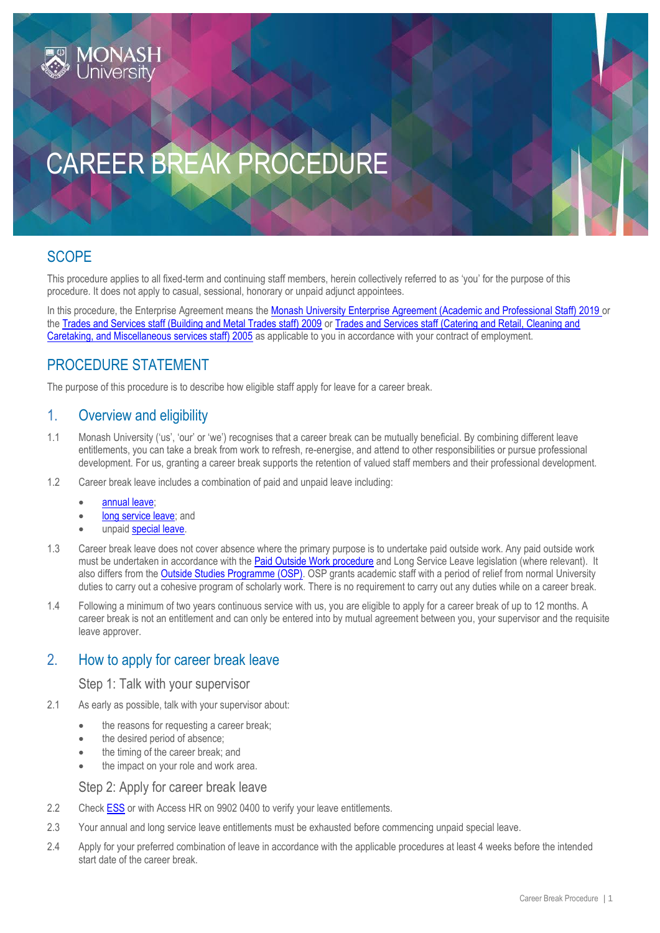

# CAREER BREAK PROCEDURE

# **SCOPE**

This procedure applies to all fixed-term and continuing staff members, herein collectively referred to as 'you' for the purpose of this procedure. It does not apply to casual, sessional, honorary or unpaid adjunct appointees.

In this procedure, the Enterprise Agreement means the [Monash University Enterprise Agreement \(Academic and Professional Staff\) 2019](https://www.monash.edu/current-enterprise-agreements/academic-professional-2019) or the [Trades and Services staff \(Building and Metal Trades staff\) 2009](https://www.monash.edu/current-enterprise-agreements/trades-services-bmt-2009) or [Trades and Services staff \(Catering and Retail, Cleaning and](https://www.monash.edu/current-enterprise-agreements/trades-services-crccm-2005)  [Caretaking, and Miscellaneous services staff\) 2005](https://www.monash.edu/current-enterprise-agreements/trades-services-crccm-2005) as applicable to you in accordance with your contract of employment.

## PROCEDURE STATEMENT

The purpose of this procedure is to describe how eligible staff apply for leave for a career break.

#### 1. Overview and eligibility

- 1.1 Monash University ('us', 'our' or 'we') recognises that a career break can be mutually beneficial. By combining different leave entitlements, you can take a break from work to refresh, re-energise, and attend to other responsibilities or pursue professional development. For us, granting a career break supports the retention of valued staff members and their professional development.
- 1.2 Career break leave includes a combination of paid and unpaid leave including:
	- [annual leave;](https://publicpolicydms.monash.edu/Monash/documents/1935655)
	- [long service leave;](https://publicpolicydms.monash.edu/Monash/documents/1935695) and
	- unpaid [special leave.](https://publicpolicydms.monash.edu/Monash/documents/1935720)
- 1.3 Career break leave does not cover absence where the primary purpose is to undertake paid outside work. Any paid outside work must be undertaken in accordance with the **Paid Outside Work procedure** and Long Service Leave legislation (where relevant). It also differs from the [Outside Studies Programme \(OSP\).](https://publicpolicydms.monash.edu/Monash/documents/1935708) OSP grants academic staff with a period of relief from normal University duties to carry out a cohesive program of scholarly work. There is no requirement to carry out any duties while on a career break.
- 1.4 Following a minimum of two years continuous service with us, you are eligible to apply for a career break of up to 12 months. A career break is not an entitlement and can only be entered into by mutual agreement between you, your supervisor and the requisite leave approver.

### 2. How to apply for career break leave

#### Step 1: Talk with your supervisor

- 2.1 As early as possible, talk with your supervisor about:
	- the reasons for requesting a career break;
	- the desired period of absence;
	- the timing of the career break; and
	- the impact on your role and work area.

#### Step 2: Apply for career break leave

- 2.2 Chec[k ESS](https://eservices.monash.edu.au/irj/portal/#Shell-home) or with Access HR on 9902 0400 to verify your leave entitlements.
- 2.3 Your annual and long service leave entitlements must be exhausted before commencing unpaid special leave.
- 2.4 Apply for your preferred combination of leave in accordance with the applicable procedures at least 4 weeks before the intended start date of the career break.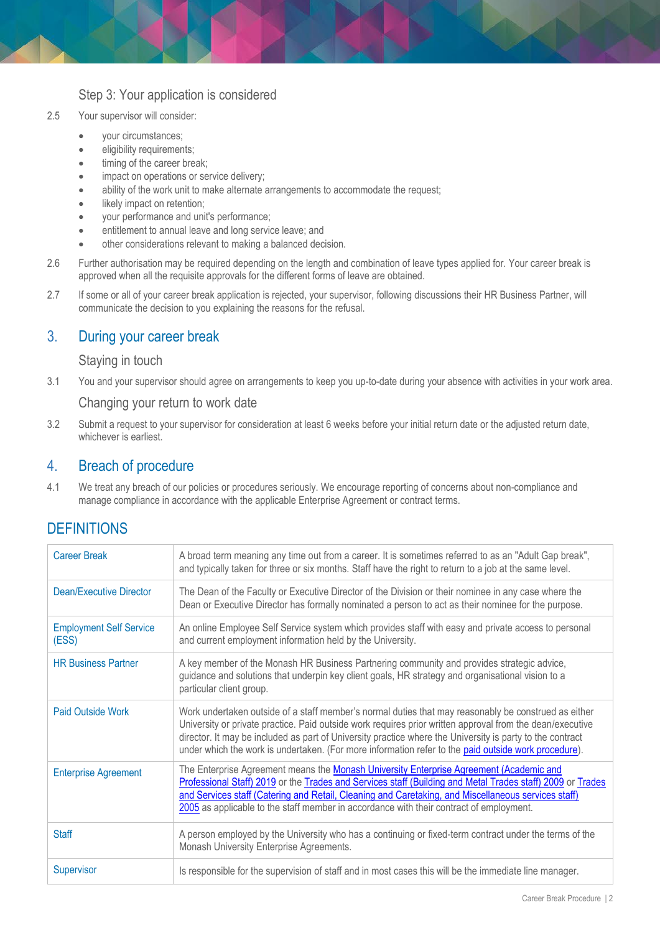#### Step 3: Your application is considered

- 2.5 Your supervisor will consider:
	- your circumstances;
	- **e** eligibility requirements;
	- timing of the career break;
	- impact on operations or service delivery;
	- ability of the work unit to make alternate arrangements to accommodate the request;
	- **•** likely impact on retention;
	- your performance and unit's performance;
	- entitlement to annual leave and long service leave; and
	- other considerations relevant to making a balanced decision.
- 2.6 Further authorisation may be required depending on the length and combination of leave types applied for. Your career break is approved when all the requisite approvals for the different forms of leave are obtained.
- 2.7 If some or all of your career break application is rejected, your supervisor, following discussions their HR Business Partner, will communicate the decision to you explaining the reasons for the refusal.

### 3. During your career break

#### Staying in touch

3.1 You and your supervisor should agree on arrangements to keep you up-to-date during your absence with activities in your work area.

#### Changing your return to work date

3.2 Submit a request to your supervisor for consideration at least 6 weeks before your initial return date or the adjusted return date, whichever is earliest.

#### 4. Breach of procedure

4.1 We treat any breach of our policies or procedures seriously. We encourage reporting of concerns about non-compliance and manage compliance in accordance with the applicable Enterprise Agreement or contract terms.

# **DEFINITIONS**

| <b>Career Break</b>                     | A broad term meaning any time out from a career. It is sometimes referred to as an "Adult Gap break",<br>and typically taken for three or six months. Staff have the right to return to a job at the same level.                                                                                                                                                                                                                       |
|-----------------------------------------|----------------------------------------------------------------------------------------------------------------------------------------------------------------------------------------------------------------------------------------------------------------------------------------------------------------------------------------------------------------------------------------------------------------------------------------|
| Dean/Executive Director                 | The Dean of the Faculty or Executive Director of the Division or their nominee in any case where the<br>Dean or Executive Director has formally nominated a person to act as their nominee for the purpose.                                                                                                                                                                                                                            |
| <b>Employment Self Service</b><br>(ESS) | An online Employee Self Service system which provides staff with easy and private access to personal<br>and current employment information held by the University.                                                                                                                                                                                                                                                                     |
| <b>HR Business Partner</b>              | A key member of the Monash HR Business Partnering community and provides strategic advice,<br>guidance and solutions that underpin key client goals, HR strategy and organisational vision to a<br>particular client group.                                                                                                                                                                                                            |
| <b>Paid Outside Work</b>                | Work undertaken outside of a staff member's normal duties that may reasonably be construed as either<br>University or private practice. Paid outside work requires prior written approval from the dean/executive<br>director. It may be included as part of University practice where the University is party to the contract<br>under which the work is undertaken. (For more information refer to the paid outside work procedure). |
| <b>Enterprise Agreement</b>             | The Enterprise Agreement means the Monash University Enterprise Agreement (Academic and<br>Professional Staff) 2019 or the Trades and Services staff (Building and Metal Trades staff) 2009 or Trades<br>and Services staff (Catering and Retail, Cleaning and Caretaking, and Miscellaneous services staff)<br>2005 as applicable to the staff member in accordance with their contract of employment.                                |
| <b>Staff</b>                            | A person employed by the University who has a continuing or fixed-term contract under the terms of the<br>Monash University Enterprise Agreements.                                                                                                                                                                                                                                                                                     |
| Supervisor                              | Is responsible for the supervision of staff and in most cases this will be the immediate line manager.                                                                                                                                                                                                                                                                                                                                 |